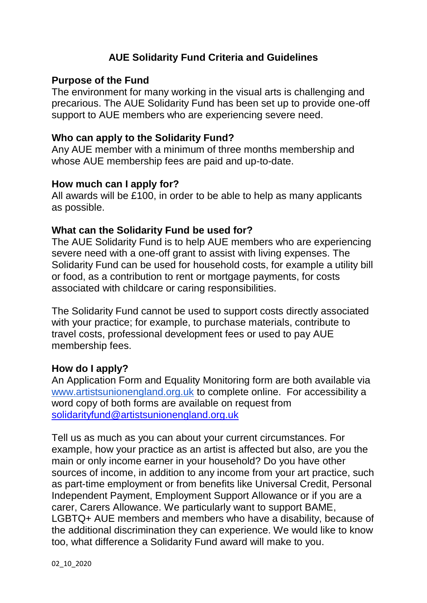# **AUE Solidarity Fund Criteria and Guidelines**

### **Purpose of the Fund**

The environment for many working in the visual arts is challenging and precarious. The AUE Solidarity Fund has been set up to provide one-off support to AUE members who are experiencing severe need.

### **Who can apply to the Solidarity Fund?**

Any AUE member with a minimum of three months membership and whose AUE membership fees are paid and up-to-date.

#### **How much can I apply for?**

All awards will be £100, in order to be able to help as many applicants as possible.

### **What can the Solidarity Fund be used for?**

The AUE Solidarity Fund is to help AUE members who are experiencing severe need with a one-off grant to assist with living expenses. The Solidarity Fund can be used for household costs, for example a utility bill or food, as a contribution to rent or mortgage payments, for costs associated with childcare or caring responsibilities.

The Solidarity Fund cannot be used to support costs directly associated with your practice; for example, to purchase materials, contribute to travel costs, professional development fees or used to pay AUE membership fees.

#### **How do I apply?**

An Application Form and Equality Monitoring form are both available via [www.artistsunionengland.org.uk](http://www.artistsunionengland.org.uk/) to complete online. For accessibility a word copy of both forms are available on request from [solidarityfund@artistsunionengland.org.uk](mailto:solidarityfund@artistsunionengland.org.uk)

Tell us as much as you can about your current circumstances. For example, how your practice as an artist is affected but also, are you the main or only income earner in your household? Do you have other sources of income, in addition to any income from your art practice, such as part-time employment or from benefits like Universal Credit, Personal Independent Payment, Employment Support Allowance or if you are a carer, Carers Allowance. We particularly want to support BAME, LGBTQ+ AUE members and members who have a disability, because of the additional discrimination they can experience. We would like to know too, what difference a Solidarity Fund award will make to you.